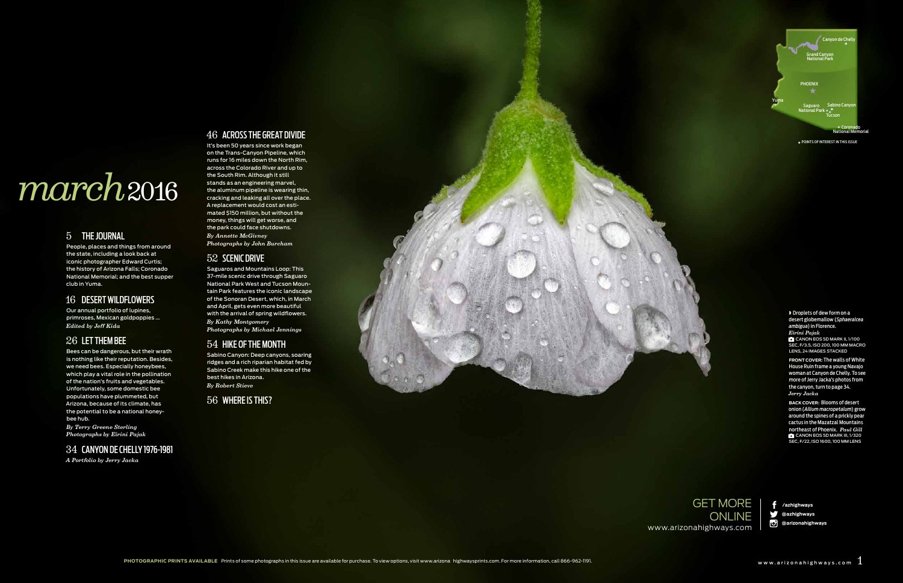POINTS OF INTEREST IN THIS ISSUE

◗ Droplets of dew form on a desert globemallow (*Sphaeralcea ambigua*) in Florence. *Eirini Pajak* CANON EOS 5D MARK II, 1/100

SEC, F/3.5, ISO 200, 100 MM MACRO LENS, 24 IMAGES STACKED

**FRONT COVER:** The walls of White House Ruin frame a young Navajo woman at Canyon de Chelly. To see more of Jerry Jacka's photos from the canyon, turn to page 34. *Jerry Jacka*

**BACK COVER:** Blooms of desert onion (*Allium macropetalum*) grow around the spines of a prickly pear cactus in the Mazatzal Mountains northeast of Phoenix. *Paul Gill*  CANON EOS 5D MARK III, 1/320 SEC, F/22, ISO 1600, 100 MM LENS

GET MORE ONLINE www.arizonahighways.com



 **/azhighways @azhighways @arizonahighways**

#### 5 THE JOURNAL

People, places and things from around the state, including a look back at iconic photographer Edward Curtis; the history of Arizona Falls; Coronado National Memorial; and the best supper club in Yuma.

#### 16 DESERT WILDFLOWERS

Our annual portfolio of lupines, primroses, Mexican goldpoppies ... *Edited by Jeff Kida*

#### 26 LET THEM BEE



Bees can be dangerous, but their wrath is nothing like their reputation. Besides, we need bees. Especially honeybees, which play a vital role in the pollination of the nation's fruits and vegetables. Unfortunately, some domestic bee populations have plummeted, but Arizona, because of its climate, has the potential to be a national honeybee hub.

*By Terry Greene Sterling Photographs by Eirini Pajak*

#### 34 CANYON DE CHELLY 1976-1981

*A Portfolio by Jerry Jacka*

## 46 ACROSS THE GREAT DIVIDE

It's been 50 years since work began on the Trans-Canyon Pipeline, which runs for 16 miles down the North Rim, across the Colorado River and up to the South Rim. Although it still stands as an engineering marvel, the aluminum pipeline is wearing thin, cracking and leaking all over the place. A replacement would cost an estimated \$150 million, but without the money, things will get worse, and the park could face shutdowns. *By Annette McGivney Photographs by John Burcham*

52 SCENIC DRIVE

Saguaros and Mountains Loop: This 37-mile scenic drive through Saguaro National Park West and Tucson Mountain Park features the iconic landscape of the Sonoran Desert, which, in March and April, gets even more beautiful with the arrival of spring wildflowers. *By Kathy Montgomery Photographs by Michael Jennings*

### 54 HIKE OF THE MONTH

Sabino Canyon: Deep canyons, soaring ridges and a rich riparian habitat fed by Sabino Creek make this hike one of the best hikes in Arizona. *By Robert Stieve*

56 WHERE IS THIS?

# *march*<sup>2016</sup>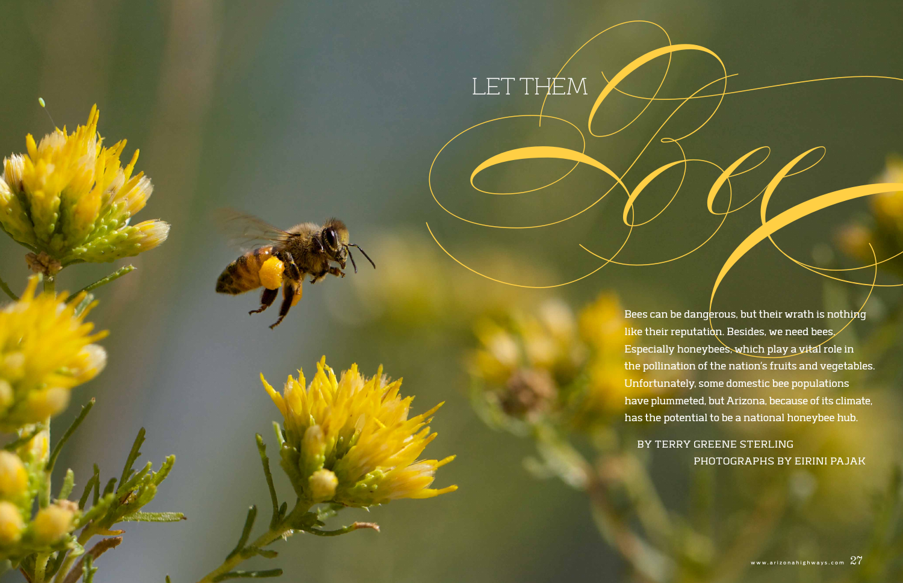LET THEM<br>
Bees can be dangerous, but their wrath is nothing<br>
Bees can be dangerous, but their wrath is nothing Bees can be dangerous, but their wrath is nothing like their reputation. Besides, we need bees. Especially honeybees, which play a vital role in the pollination of the nation's fruits and vegetables. Unfortunately, some domestic bee populations have plummeted, but Arizona, because of its climate, has the potential to be a national honeybee hub.

> BY TERRY GREENE STERLING PHOTOGRAPHS BY EIRINI PAJAK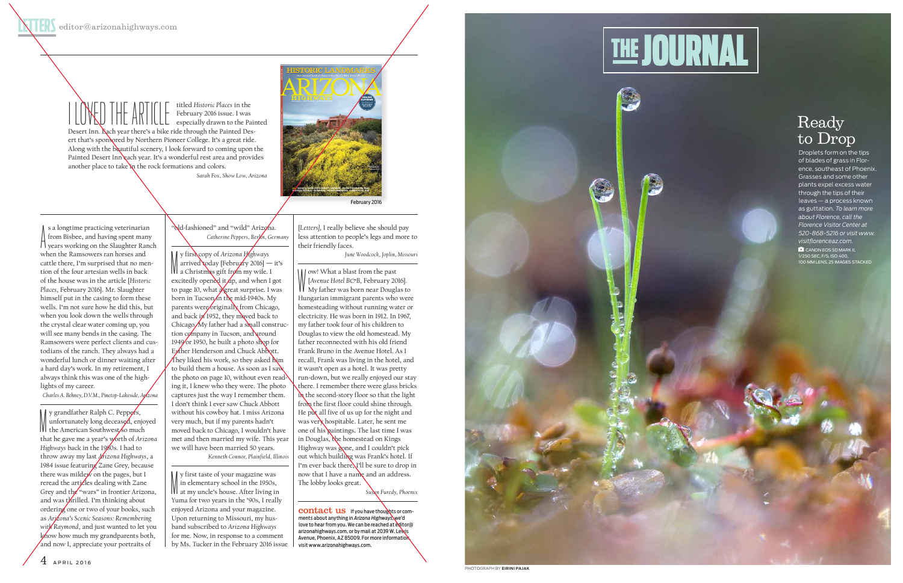I LOVED THE ARTICLE February 2016 issue. I was<br>Desert Inn. Each year there's a bike ride through the Painted Destitled *Historic Places* in the February 2016 issue. I was especially drawn to the Painted ert that's sponsored by Northern Pioneer College. It's a great ride. Along with the beautiful scenery, I look forward to coming upon the Painted Desert Inn each year. It's a wonderful rest area and provides another place to take in the rock formations and colors.

*Sarah Fox, Show Low, Arizona*

contact us If you have thoughts or comments about anything in *Arizona Highways*, we'd love to hear from you. We can be reached at editor@ arizonahighways.com, or by mail at 2039 W. Lewis Avenue, Phoenix, AZ 85009. For more information, visit www.arizonahighways.com.



s a longtime practicing veterinarian<br>from Bisbee, and having spent many<br>years working on the Slaughter Ran from Bisbee, and having spent many  $\bigcap$  years working on the Slaughter Ranch when the Ramsowers ran horses and cattle there, I'm surprised that no men tion of the four artesian wells in back of the house was in the article [*Historic Places*, February 2016]. Mr. Slaughter himself put in the casing to form these wells. I'm not sure how he did this, but when you look down the wells through the crystal clear water coming up, you will see many bends in the casing. The Ramsowers were perfect clients and cus todians of the ranch. They always had a wonderful lunch or dinner waiting after a hard day's work. In my retirement, I always think this was one of the high lights of my career. *Charles A. Behney, D.V.M., Pinetop-Lakeside, Arizona*

y grandfather Ralph C. Peppors,<br>unfortunately long deceased, enjoy<br>the American Southwests o much **J** y grandfather Ralph C. Peppers, unfortunately long deceased, enjoyed that he gave me a year's worth of *Arizona Highways* back in the 1980s. I had to throw away my last *Arizona Highways*, a 1984 issue featuring Zane Grey, because there was mildew on the pages, but I reread the articles dealing with Zane Grey and the "wars" in frontier Arizona, and was thrilled. I'm thinking about ordering one or two of your books, such as *Arizona's Scenic Seasons: Remembering with Raymond*, and just wanted to let you know how much my grandparents both, and now I, appreciate your portraits of

"Nd-fashioned" and "wild" Arizona. *Catherine Peppers, Berlin, Germany*

> I ow! What a blast from the past [Avenue Hotel B&B, February 2016]. My father was born near Douglas to Hungarian immigrant parents who were homesteading without running water or electricity. He was born in 1912. In 1967, my father took four of his children to Douglas to view the old homestead. My father reconnected with his old friend Frank Bruno in the Avenue Hotel. As I recall, Frank was living in the hotel, and it wasn't open as a hotel. It was pretty run-down, but we really enjoyed our stay there. I remember there were glass bricks in the second-story floor so that the light from the first floor could shine through. He put all five of us up for the night and was very hospitable. Later, he sent me one of his paintings. The last time I was in Douglas, the homestead on Kings Highway was gone, and I couldn't pick out which building was Frank's hotel. If I'm ever back there, I'll be sure to drop in now that I have a name and an address. The lobby looks great.

 M y first copy of *Arizona Highways* arrived today [February 2016] — it's a Christmas gift from my wife. I excitedly opened it  $\mu$ p, and when I got to page 10, what  $\chi$  great surprise. I was born in Tucson in the mid-1940s. My parents were originally from Chicago, and back in 1952, they moved back to Chicago/My father had a small construction company in Tucson, and around 1949 or 1950, he built a photo shop for Esther Henderson and Chuck Abbott. They liked his work, so they asked  $\lim$ to build them a house. As soon as I saw the photo on page 10, without even read ing it, I knew who they were. The photo captures just the way I remember them. I don't think I ever saw Chuck Abbott without his cowboy hat. I miss Arizona very much, but if my parents hadn't moved back to Chicago, I wouldn't have met and then married my wife. This year we will have been married 50 years.

*Kenneth Connor, Plainfield, Illinois*

 M y first taste of your magazine was in elementary school in the 1950s, at my uncle's house. After living in Yuma for two years in the '90s, I really enjoyed Arizona and your magazine. Upon returning to Missouri, my hus band subscribed to *Arizona Highways* for me. Now, in response to a comment by Ms. Tucker in the February 2016 issue February 2016



# Ready to Drop

Droplets form on the tips of blades of grass in Flor ence, southeast of Phoenix. Grasses and some other plants expel excess water through the tips of their leaves — a process known as guttation. *To learn more about Florence, call the Florence Visitor Center at 520-868-5216 or visit www. visitflorenceaz.com.*

 CANON EOS 5D MARK II, 1/250 SEC, F/5, ISO 400, 100 MM LENS, 25 IMAGES STACKED



[*Letters]*, I really believe she should pay less attention to people's legs and more to their friendly faces.

*June Woodcock, Joplin, Missouri*

*Susan Furedy, Phoenix*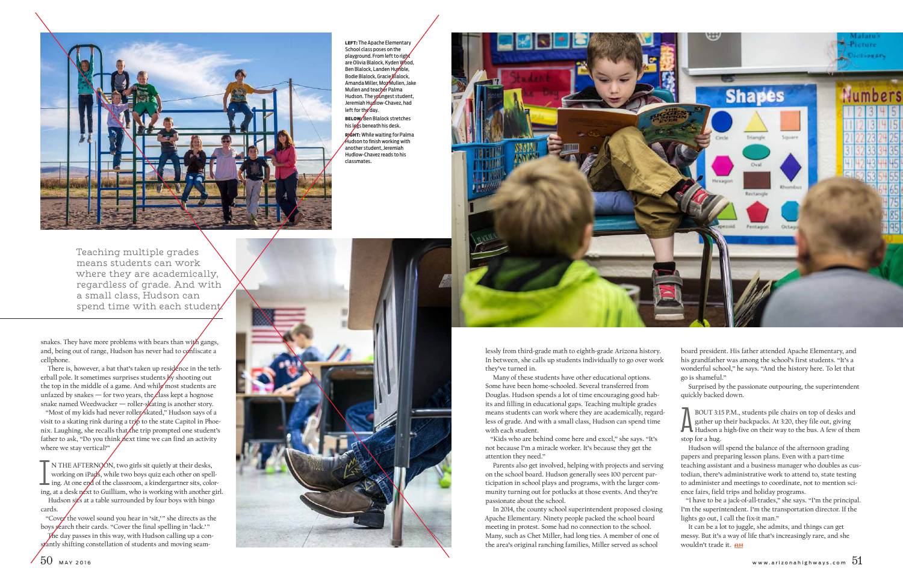snakes. They have more problems with bears than with gangs, and, being out of range, Hudson has never had to confiscate a cellphone.

There is, however, a bat that's taken up residence in the tetherball pole. It sometimes surprises students  $\frac{1}{2}$  shooting out the top in the middle of a game. And while most students are unfazed by snakes — for two years, the class kept a hognose snake named Weedwacker — roller-skating is another story.

"Most of my kids had never rollers skated," Hudson says of a visit to a skating rink during a trip to the state Capitol in Phoenix. Laughing, she recalls that the trip prompted one student's father to ask, "Do you think next time we can find an activity where we stay vertical?"

N THE AFTERNOON, two girls sit quietly at their desks,<br>working on iPads, while two boys quiz each other on spell-<br>ing. At one end of the classroom, a kindergartner sits, color-<br>ing at a dool: next to Cuilliam, who is usual  $\blacksquare$  N THE AFTERNOON, two girls sit quietly at their desks, working on iPads, while two boys quiz each other on spelling, at a desk next to Guilliam, who is working with another girl.

Hudson sits at a table surrounded by four boys with bingo cards.

"Cover the vowel sound you hear in 'sit,'" she directs as the boys search their cards. "Cover the final spelling in 'lack.'"

The day passes in this way, with Hudson calling up a constantly shifting constellation of students and moving seam-





lessly from third-grade math to eighth-grade Arizona history. In between, she calls up students individually to go over work they've turned in.

> BOUT 3:15 P.M., students pile chairs on top of desks and<br>gather up their backpacks. At 3:20, they file out, giving<br>Hudson a high-five on their way to the bus. A few of them BOUT 3:15 P.M., students pile chairs on top of desks and gather up their backpacks. At 3:20, they file out, giving stop for a hug.

Many of these students have other educational options. Some have been home-schooled. Several transferred from Douglas. Hudson spends a lot of time encouraging good habits and filling in educational gaps. Teaching multiple grades means students can work where they are academically, regardless of grade. And with a small class, Hudson can spend time with each student.

> It can be a lot to juggle, she admits, and things can get messy. But it's a way of life that's increasingly rare, and she wouldn't trade it. **AH**

"Kids who are behind come here and excel," she says. "It's not because I'm a miracle worker. It's because they get the attention they need."



LEFT: The Apache Elementary School class poses on the playground. From left to right are Olivia Blalock, Kyden Wood, Ben Blalock, Landen Humble, Bodie Blalock, Gracie Blalock, Amanda Miller, Moz Mullen, Jake Mullen and teacher Palma Hudson. The youngest student, Jeremiah Hudlow-Chavez, had left for the day.

> Parents also get involved, helping with projects and serving on the school board. Hudson generally sees 100 percent participation in school plays and programs, with the larger community turning out for potlucks at those events. And they're passionate about the school.

> In 2014, the county school superintendent proposed closing Apache Elementary. Ninety people packed the school board meeting in protest. Some had no connection to the school. Many, such as Chet Miller, had long ties. A member of one of the area's original ranching families, Miller served as school

board president. His father attended Apache Elementary, and his grandfather was among the school's first students. "It's a wonderful school," he says. "And the history here. To let that go is shameful."

Surprised by the passionate outpouring, the superintendent quickly backed down.

Hudson will spend the balance of the afternoon grading papers and preparing lesson plans. Even with a part-time teaching assistant and a business manager who doubles as custodian, there's administrative work to attend to, state testing to administer and meetings to coordinate, not to mention science fairs, field trips and holiday programs.

"I have to be a jack-of-all-trades," she says. "I'm the principal. I'm the superintendent. I'm the transportation director. If the lights go out, I call the fix-it man."

Teaching multiple grades means students can work where they are academically, regardless of grade. And with a small class, Hudson can spend time with each student.

BELOW: Ben Blalock stretches his logs beneath his desk. RIGHT: While waiting for Palma

Hudson to finish working with another student, Jeremiah Hudlow-Chavez reads to his classmates.